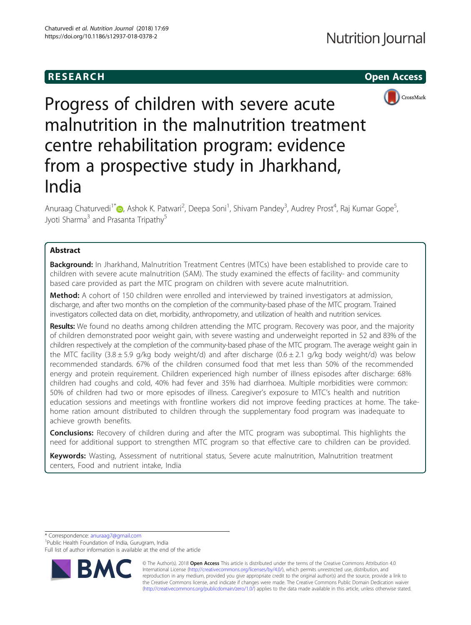# **RESEARCH CHEAR CHEAR CHEAR CHEAR CHEAR CHEAR CHEAR CHEAR CHEAR CHEAR CHEAR CHEAR CHEAR CHEAR CHEAR CHEAR CHEAR**



Progress of children with severe acute malnutrition in the malnutrition treatment centre rehabilitation program: evidence from a prospective study in Jharkhand, India

Anuraag Chaturvedi<sup>1\*</sup> (**p**[,](http://orcid.org/0000-0003-1345-5621) Ashok K. Patwari<sup>2</sup>, Deepa Soni<sup>1</sup>, Shivam Pandey<sup>3</sup>, Audrey Prost<sup>4</sup>, Raj Kumar Gope<sup>5</sup> , Jyoti Sharma<sup>3</sup> and Prasanta Tripathy<sup>5</sup>

## Abstract

**Background:** In Jharkhand, Malnutrition Treatment Centres (MTCs) have been established to provide care to children with severe acute malnutrition (SAM). The study examined the effects of facility- and community based care provided as part the MTC program on children with severe acute malnutrition.

Method: A cohort of 150 children were enrolled and interviewed by trained investigators at admission, discharge, and after two months on the completion of the community-based phase of the MTC program. Trained investigators collected data on diet, morbidity, anthropometry, and utilization of health and nutrition services.

Results: We found no deaths among children attending the MTC program. Recovery was poor, and the majority of children demonstrated poor weight gain, with severe wasting and underweight reported in 52 and 83% of the children respectively at the completion of the community-based phase of the MTC program. The average weight gain in the MTC facility (3.8  $\pm$  5.9 g/kg body weight/d) and after discharge (0.6  $\pm$  2.1 g/kg body weight/d) was below recommended standards. 67% of the children consumed food that met less than 50% of the recommended energy and protein requirement. Children experienced high number of illness episodes after discharge: 68% children had coughs and cold, 40% had fever and 35% had diarrhoea. Multiple morbidities were common: 50% of children had two or more episodes of illness. Caregiver's exposure to MTC's health and nutrition education sessions and meetings with frontline workers did not improve feeding practices at home. The takehome ration amount distributed to children through the supplementary food program was inadequate to achieve growth benefits.

**Conclusions:** Recovery of children during and after the MTC program was suboptimal. This highlights the need for additional support to strengthen MTC program so that effective care to children can be provided.

Keywords: Wasting, Assessment of nutritional status, Severe acute malnutrition, Malnutrition treatment centers, Food and nutrient intake, India

\* Correspondence: [anuraag7@gmail.com](mailto:anuraag7@gmail.com) <sup>1</sup>

<sup>1</sup>Public Health Foundation of India, Gurugram, India

Full list of author information is available at the end of the article



© The Author(s). 2018 Open Access This article is distributed under the terms of the Creative Commons Attribution 4.0 International License [\(http://creativecommons.org/licenses/by/4.0/](http://creativecommons.org/licenses/by/4.0/)), which permits unrestricted use, distribution, and reproduction in any medium, provided you give appropriate credit to the original author(s) and the source, provide a link to the Creative Commons license, and indicate if changes were made. The Creative Commons Public Domain Dedication waiver [\(http://creativecommons.org/publicdomain/zero/1.0/](http://creativecommons.org/publicdomain/zero/1.0/)) applies to the data made available in this article, unless otherwise stated.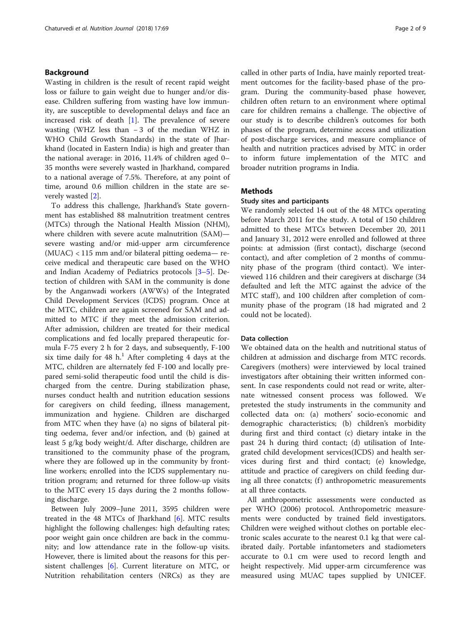## Background

Wasting in children is the result of recent rapid weight loss or failure to gain weight due to hunger and/or disease. Children suffering from wasting have low immunity, are susceptible to developmental delays and face an increased risk of death  $[1]$  $[1]$  $[1]$ . The prevalence of severe wasting (WHZ less than − 3 of the median WHZ in WHO Child Growth Standards) in the state of Jharkhand (located in Eastern India) is high and greater than the national average: in 2016, 11.4% of children aged 0– 35 months were severely wasted in Jharkhand, compared to a national average of 7.5%. Therefore, at any point of time, around 0.6 million children in the state are severely wasted [[2\]](#page-7-0).

To address this challenge, Jharkhand's State government has established 88 malnutrition treatment centres (MTCs) through the National Health Mission (NHM), where children with severe acute malnutrition (SAM) severe wasting and/or mid-upper arm circumference (MUAC) < 115 mm and/or bilateral pitting oedema— receive medical and therapeutic care based on the WHO and Indian Academy of Pediatrics protocols [\[3](#page-7-0)–[5\]](#page-7-0). Detection of children with SAM in the community is done by the Anganwadi workers (AWWs) of the Integrated Child Development Services (ICDS) program. Once at the MTC, children are again screened for SAM and admitted to MTC if they meet the admission criterion. After admission, children are treated for their medical complications and fed locally prepared therapeutic formula F-75 every 2 h for 2 days, and subsequently, F-100 six time daily for 48  $h<sup>1</sup>$ . After completing 4 days at the MTC, children are alternately fed F-100 and locally prepared semi-solid therapeutic food until the child is discharged from the centre. During stabilization phase, nurses conduct health and nutrition education sessions for caregivers on child feeding, illness management, immunization and hygiene. Children are discharged from MTC when they have (a) no signs of bilateral pitting oedema, fever and/or infection, and (b) gained at least 5 g/kg body weight/d. After discharge, children are transitioned to the community phase of the program, where they are followed up in the community by frontline workers; enrolled into the ICDS supplementary nutrition program; and returned for three follow-up visits to the MTC every 15 days during the 2 months following discharge.

Between July 2009–June 2011, 3595 children were treated in the 48 MTCs of Jharkhand  $[6]$  $[6]$ . MTC results highlight the following challenges: high defaulting rates; poor weight gain once children are back in the community; and low attendance rate in the follow-up visits. However, there is limited about the reasons for this persistent challenges  $[6]$  $[6]$ . Current literature on MTC, or Nutrition rehabilitation centers (NRCs) as they are called in other parts of India, have mainly reported treatment outcomes for the facility-based phase of the program. During the community-based phase however, children often return to an environment where optimal care for children remains a challenge. The objective of our study is to describe children's outcomes for both phases of the program, determine access and utilization of post-discharge services, and measure compliance of health and nutrition practices advised by MTC in order to inform future implementation of the MTC and broader nutrition programs in India.

## **Methods**

## Study sites and participants

We randomly selected 14 out of the 48 MTCs operating before March 2011 for the study. A total of 150 children admitted to these MTCs between December 20, 2011 and January 31, 2012 were enrolled and followed at three points: at admission (first contact), discharge (second contact), and after completion of 2 months of community phase of the program (third contact). We interviewed 116 children and their caregivers at discharge (34 defaulted and left the MTC against the advice of the MTC staff), and 100 children after completion of community phase of the program (18 had migrated and 2 could not be located).

## Data collection

We obtained data on the health and nutritional status of children at admission and discharge from MTC records. Caregivers (mothers) were interviewed by local trained investigators after obtaining their written informed consent. In case respondents could not read or write, alternate witnessed consent process was followed. We pretested the study instruments in the community and collected data on: (a) mothers' socio-economic and demographic characteristics; (b) children's morbidity during first and third contact (c) dietary intake in the past 24 h during third contact; (d) utilisation of Integrated child development services(ICDS) and health services during first and third contact; (e) knowledge, attitude and practice of caregivers on child feeding during all three conatcts;  $(f)$  anthropometric measurements at all three contacts.

All anthropometric assessments were conducted as per WHO (2006) protocol. Anthropometric measurements were conducted by trained field investigators. Children were weighed without clothes on portable electronic scales accurate to the nearest 0.1 kg that were calibrated daily. Portable infantometers and stadiometers accurate to 0.1 cm were used to record length and height respectively. Mid upper-arm circumference was measured using MUAC tapes supplied by UNICEF.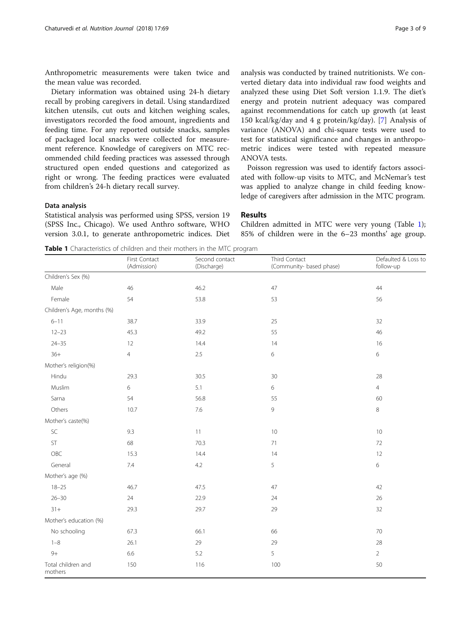Anthropometric measurements were taken twice and the mean value was recorded.

Dietary information was obtained using 24-h dietary recall by probing caregivers in detail. Using standardized kitchen utensils, cut outs and kitchen weighing scales, investigators recorded the food amount, ingredients and feeding time. For any reported outside snacks, samples of packaged local snacks were collected for measurement reference. Knowledge of caregivers on MTC recommended child feeding practices was assessed through structured open ended questions and categorized as right or wrong. The feeding practices were evaluated from children's 24-h dietary recall survey.

#### Data analysis

Statistical analysis was performed using SPSS, version 19 (SPSS Inc., Chicago). We used Anthro software, WHO version 3.0.1, to generate anthropometric indices. Diet analysis was conducted by trained nutritionists. We converted dietary data into individual raw food weights and analyzed these using Diet Soft version 1.1.9. The diet's energy and protein nutrient adequacy was compared against recommendations for catch up growth (at least 150 kcal/kg/day and 4 g protein/kg/day). [\[7](#page-7-0)] Analysis of variance (ANOVA) and chi-square tests were used to test for statistical significance and changes in anthropometric indices were tested with repeated measure ANOVA tests.

Poisson regression was used to identify factors associated with follow-up visits to MTC, and McNemar's test was applied to analyze change in child feeding knowledge of caregivers after admission in the MTC program.

## Results

Children admitted in MTC were very young (Table 1); 85% of children were in the 6–23 months' age group.

**Table 1** Characteristics of children and their mothers in the MTC program

|                               | First Contact<br>(Admission) | $\checkmark$<br>Second contact<br>(Discharge) | Third Contact<br>(Community- based phase) | Defaulted & Loss to<br>follow-up |  |
|-------------------------------|------------------------------|-----------------------------------------------|-------------------------------------------|----------------------------------|--|
| Children's Sex (%)            |                              |                                               |                                           |                                  |  |
| Male                          | 46                           | 46.2                                          | 47                                        | 44                               |  |
| Female                        | 54                           | 53.8                                          | 53                                        | 56                               |  |
| Children's Age, months (%)    |                              |                                               |                                           |                                  |  |
| $6 - 11$                      | 38.7                         | 33.9                                          | 25                                        | 32                               |  |
| $12 - 23$                     | 45.3                         | 49.2                                          | 55                                        | 46                               |  |
| $24 - 35$                     | 12                           | 14.4                                          | 14                                        | 16                               |  |
| $36+$                         | $\overline{4}$               | 2.5                                           | 6                                         | 6                                |  |
| Mother's religion(%)          |                              |                                               |                                           |                                  |  |
| Hindu                         | 29.3                         | 30.5                                          | 30                                        | 28                               |  |
| Muslim                        | 6                            | 5.1                                           | 6                                         | $\overline{4}$                   |  |
| Sarna                         | 54                           | 56.8                                          | 55                                        | 60                               |  |
| Others                        | 10.7                         | 7.6                                           | 9                                         | $\,8\,$                          |  |
| Mother's caste(%)             |                              |                                               |                                           |                                  |  |
| SC                            | 9.3                          | 11                                            | 10                                        | 10                               |  |
| ST                            | 68                           | 70.3                                          | 71                                        | 72                               |  |
| OBC                           | 15.3                         | 14.4                                          | 14                                        | 12                               |  |
| General                       | 7.4                          | 4.2                                           | 5                                         | 6                                |  |
| Mother's age (%)              |                              |                                               |                                           |                                  |  |
| $18 - 25$                     | 46.7                         | 47.5                                          | 47                                        | 42                               |  |
| $26 - 30$                     | 24                           | 22.9                                          | 24                                        | 26                               |  |
| $31 +$                        | 29.3                         | 29.7                                          | 29                                        | 32                               |  |
| Mother's education (%)        |                              |                                               |                                           |                                  |  |
| No schooling                  | 67.3                         | 66.1                                          | 66                                        | 70                               |  |
| $1 - 8$                       | 26.1                         | 29                                            | 29                                        | 28                               |  |
| $9+$                          | 6.6                          | 5.2                                           | 5                                         | $\overline{2}$                   |  |
| Total children and<br>mothers | 150                          | 116                                           | 100                                       | 50                               |  |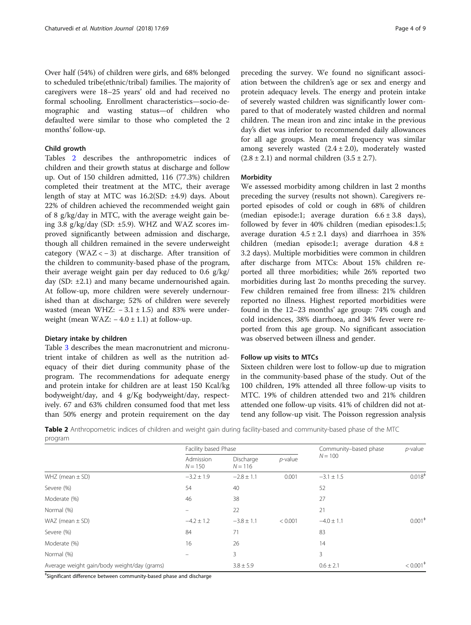Over half (54%) of children were girls, and 68% belonged to scheduled tribe(ethnic/tribal) families. The majority of caregivers were 18–25 years' old and had received no formal schooling. Enrollment characteristics—socio-demographic and wasting status—of children who defaulted were similar to those who completed the 2 months' follow-up.

## Child growth

Tables 2 describes the anthropometric indices of children and their growth status at discharge and follow up. Out of 150 children admitted, 116 (77.3%) children completed their treatment at the MTC, their average length of stay at MTC was 16.2(SD: ±4.9) days. About 22% of children achieved the recommended weight gain of 8 g/kg/day in MTC, with the average weight gain being 3.8 g/kg/day (SD: ±5.9). WHZ and WAZ scores improved significantly between admission and discharge, though all children remained in the severe underweight category (WAZ <  $-3$ ) at discharge. After transition of the children to community-based phase of the program, their average weight gain per day reduced to 0.6 g/kg/ day (SD: ±2.1) and many became undernourished again. At follow-up, more children were severely undernourished than at discharge; 52% of children were severely wasted (mean WHZ:  $-3.1 \pm 1.5$ ) and 83% were underweight (mean WAZ:  $-4.0 \pm 1.1$ ) at follow-up.

#### Dietary intake by children

Table [3](#page-4-0) describes the mean macronutrient and micronutrient intake of children as well as the nutrition adequacy of their diet during community phase of the program. The recommendations for adequate energy and protein intake for children are at least 150 Kcal/kg bodyweight/day, and 4 g/Kg bodyweight/day, respectively. 67 and 63% children consumed food that met less than 50% energy and protein requirement on the day preceding the survey. We found no significant association between the children's age or sex and energy and protein adequacy levels. The energy and protein intake of severely wasted children was significantly lower compared to that of moderately wasted children and normal children. The mean iron and zinc intake in the previous day's diet was inferior to recommended daily allowances for all age groups. Mean meal frequency was similar among severely wasted  $(2.4 \pm 2.0)$ , moderately wasted  $(2.8 \pm 2.1)$  and normal children  $(3.5 \pm 2.7)$ .

## **Morbidity**

We assessed morbidity among children in last 2 months preceding the survey (results not shown). Caregivers reported episodes of cold or cough in 68% of children (median episode:1; average duration  $6.6 \pm 3.8$  days), followed by fever in 40% children (median episodes:1.5; average duration  $4.5 \pm 2.1$  days) and diarrhoea in 35% children (median episode:1; average duration 4.8 ± 3.2 days). Multiple morbidities were common in children after discharge from MTCs: About 15% children reported all three morbidities; while 26% reported two morbidities during last 2o months preceding the survey. Few children remained free from illness: 21% children reported no illness. Highest reported morbidities were found in the 12–23 months' age group: 74% cough and cold incidences, 38% diarrhoea, and 34% fever were reported from this age group. No significant association was observed between illness and gender.

## Follow up visits to MTCs

Sixteen children were lost to follow-up due to migration in the community-based phase of the study. Out of the 100 children, 19% attended all three follow-up visits to MTC. 19% of children attended two and 21% children attended one follow-up visits. 41% of children did not attend any follow-up visit. The Poisson regression analysis

Table 2 Anthropometric indices of children and weight gain during facility-based and community-based phase of the MTC program

|                                             | Facility based Phase   |                        |            | Community-based phase | $p$ -value                        |
|---------------------------------------------|------------------------|------------------------|------------|-----------------------|-----------------------------------|
|                                             | Admission<br>$N = 150$ | Discharge<br>$N = 116$ | $p$ -value | $N = 100$             |                                   |
| WHZ (mean $\pm$ SD)                         | $-3.2 \pm 1.9$         | $-2.8 \pm 1.1$         | 0.001      | $-3.1 \pm 1.5$        | 0.018 <sup>‡</sup>                |
| Severe (%)                                  | 54                     | 40                     |            | 52                    |                                   |
| Moderate (%)                                | 46                     | 38                     |            | 27                    |                                   |
| Normal (%)                                  |                        | 22                     |            | 21                    |                                   |
| WAZ (mean $\pm$ SD)                         | $-4.2 \pm 1.2$         | $-3.8 \pm 1.1$         | < 0.001    | $-4.0 \pm 1.1$        | $0.001$ <sup><math>*</math></sup> |
| Severe (%)                                  | 84                     | 71                     |            | 83                    |                                   |
| Moderate (%)                                | 16                     | 26                     |            | 14                    |                                   |
| Normal (%)                                  |                        | 3                      |            | 3                     |                                   |
| Average weight gain/body weight/day (grams) |                        | $3.8 \pm 5.9$          |            | $0.6 \pm 2.1$         | $< 0.001$ <sup>*</sup>            |

ǂ Significant difference between community-based phase and discharge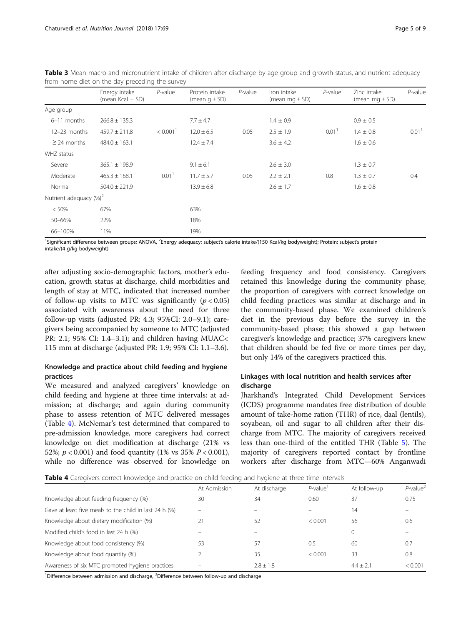|                            | Energy intake<br>(mean Kcal $\pm$ SD) | $P$ -value           | Protein intake<br>(mean $q \pm SD$ ) | $P$ -value | Iron intake<br>(mean mg $\pm$ SD) | $P$ -value        | Zinc intake<br>(mean $mg \pm SD$ ) | $P$ -value        |
|----------------------------|---------------------------------------|----------------------|--------------------------------------|------------|-----------------------------------|-------------------|------------------------------------|-------------------|
| Age group                  |                                       |                      |                                      |            |                                   |                   |                                    |                   |
| 6-11 months                | $266.8 \pm 135.3$                     |                      | $7.7 \pm 4.7$                        |            | $1.4 \pm 0.9$                     |                   | $0.9 \pm 0.5$                      |                   |
| $12-23$ months             | $459.7 \pm 211.8$                     | < 0.001 <sup>1</sup> | $12.0 \pm 6.5$                       | 0.05       | $2.5 \pm 1.9$                     | 0.01 <sup>1</sup> | $1.4 \pm 0.8$                      | 0.01 <sup>1</sup> |
| $\geq$ 24 months           | $484.0 \pm 163.1$                     |                      | $12.4 \pm 7.4$                       |            | $3.6 \pm 4.2$                     |                   | $1.6 \pm 0.6$                      |                   |
| WHZ status                 |                                       |                      |                                      |            |                                   |                   |                                    |                   |
| Severe                     | $365.1 \pm 198.9$                     |                      | $9.1 \pm 6.1$                        |            | $2.6 \pm 3.0$                     |                   | $1.3 \pm 0.7$                      |                   |
| Moderate                   | $465.3 \pm 168.1$                     | 0.01 <sup>1</sup>    | $11.7 \pm 5.7$                       | 0.05       | $2.2 \pm 2.1$                     | 0.8               | $1.3 \pm 0.7$                      | 0.4               |
| Normal                     | $504.0 \pm 221.9$                     |                      | $13.9 \pm 6.8$                       |            | $2.6 \pm 1.7$                     |                   | $1.6 \pm 0.8$                      |                   |
| Nutrient adequacy $(\%)^2$ |                                       |                      |                                      |            |                                   |                   |                                    |                   |
| < 50%                      | 67%                                   |                      | 63%                                  |            |                                   |                   |                                    |                   |
| 50-66%                     | 22%                                   |                      | 18%                                  |            |                                   |                   |                                    |                   |
| 66-100%                    | 11%                                   |                      | 19%                                  |            |                                   |                   |                                    |                   |

<span id="page-4-0"></span>Table 3 Mean macro and micronutrient intake of children after discharge by age group and growth status, and nutrient adequacy from home diet on the day preceding the survey

<sup>1</sup>Significant difference between groups; ANOVA, <sup>2</sup>Energy adequacy: subject's calorie intake/(150 Kcal/kg bodyweight); Protein: subject's protein intake/(4 g/kg bodyweight)

after adjusting socio-demographic factors, mother's education, growth status at discharge, child morbidities and length of stay at MTC, indicated that increased number of follow-up visits to MTC was significantly  $(p < 0.05)$ associated with awareness about the need for three follow-up visits (adjusted PR: 4.3; 95%CI: 2.0–9.1); caregivers being accompanied by someone to MTC (adjusted PR: 2.1; 95% CI: 1.4–3.1); and children having MUAC< 115 mm at discharge (adjusted PR: 1.9; 95% CI: 1.1–3.6).

## Knowledge and practice about child feeding and hygiene practices

We measured and analyzed caregivers' knowledge on child feeding and hygiene at three time intervals: at admission; at discharge; and again during community phase to assess retention of MTC delivered messages (Table 4). McNemar's test determined that compared to pre-admission knowledge, more caregivers had correct knowledge on diet modification at discharge (21% vs 52%;  $p < 0.001$ ) and food quantity (1% vs 35%  $P < 0.001$ ), while no difference was observed for knowledge on feeding frequency and food consistency. Caregivers retained this knowledge during the community phase; the proportion of caregivers with correct knowledge on child feeding practices was similar at discharge and in the community-based phase. We examined children's diet in the previous day before the survey in the community-based phase; this showed a gap between caregiver's knowledge and practice; 37% caregivers knew that children should be fed five or more times per day, but only 14% of the caregivers practiced this.

## Linkages with local nutrition and health services after discharge

Jharkhand's Integrated Child Development Services (ICDS) programme mandates free distribution of double amount of take-home ration (THR) of rice, daal (lentils), soyabean, oil and sugar to all children after their discharge from MTC. The majority of caregivers received less than one-third of the entitled THR (Table [5\)](#page-5-0). The majority of caregivers reported contact by frontline workers after discharge from MTC—60% Anganwadi

Table 4 Caregivers correct knowledge and practice on child feeding and hygiene at three time intervals

| At discharge | $P$ -value <sup>1</sup> | At follow-up | $P$ -value <sup>2</sup> |
|--------------|-------------------------|--------------|-------------------------|
| 34           | 0.60                    | 37           | 0.75                    |
|              |                         | 14           |                         |
| 52           | < 0.001                 | 56           | 0.6                     |
| -            |                         | 0            |                         |
| 57           | 0.5                     | 60           | 0.7                     |
| 35           | < 0.001                 | 33           | 0.8                     |
| $78 + 18$    |                         | $4.4 + 2.1$  | < 0.001                 |
|              |                         |              |                         |

<sup>1</sup>Difference between admission and discharge, <sup>2</sup>Difference between follow-up and discharge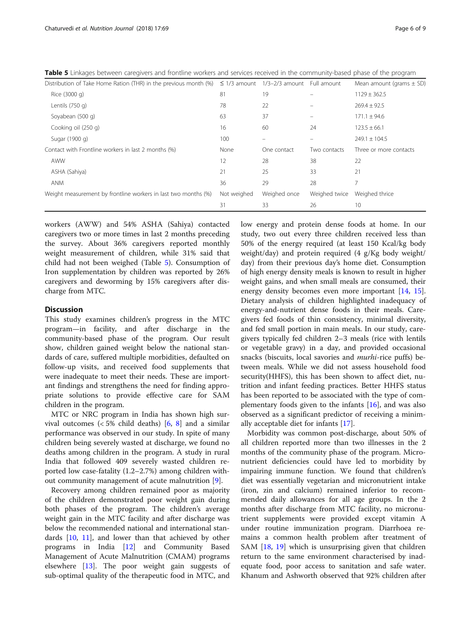| Distribution of Take Home Ration (THR) in the previous month (%) $\leq$ 1/3 amount 1/3-2/3 amount Full amount |             |              |               | Mean amount (grams $\pm$ SD) |
|---------------------------------------------------------------------------------------------------------------|-------------|--------------|---------------|------------------------------|
| Rice (3000 g)                                                                                                 | 81          | 19           |               | $1129 \pm 362.5$             |
| Lentils $(750 q)$                                                                                             | 78          | 22           |               | $269.4 \pm 92.5$             |
| Soyabean (500 g)                                                                                              | 63          | 37           |               | $171.1 \pm 94.6$             |
| Cooking oil (250 g)                                                                                           | 16          | 60           | 24            | $123.5 \pm 66.1$             |
| Sugar (1900 g)                                                                                                | 100         |              | $\equiv$      | $249.1 \pm 104.5$            |
| Contact with Frontline workers in last 2 months (%)                                                           | None        | One contact  | Two contacts  | Three or more contacts       |
| AWW                                                                                                           | 12          | 28           | 38            | 22                           |
| ASHA (Sahiya)                                                                                                 | 21          | 25           | 33            | 21                           |
| <b>ANM</b>                                                                                                    | 36          | 29           | 28            | 7                            |
| Weight measurement by frontline workers in last two months (%)                                                | Not weighed | Weighed once | Weighed twice | Weighed thrice               |
|                                                                                                               | 31          | 33           | 26            | 10                           |

<span id="page-5-0"></span>Table 5 Linkages between caregivers and frontline workers and services received in the community-based phase of the program

workers (AWW) and 54% ASHA (Sahiya) contacted caregivers two or more times in last 2 months preceding the survey. About 36% caregivers reported monthly weight measurement of children, while 31% said that child had not been weighed (Table 5). Consumption of Iron supplementation by children was reported by 26% caregivers and deworming by 15% caregivers after discharge from MTC.

## **Discussion**

This study examines children's progress in the MTC program—in facility, and after discharge in the community-based phase of the program. Our result show, children gained weight below the national standards of care, suffered multiple morbidities, defaulted on follow-up visits, and received food supplements that were inadequate to meet their needs. These are important findings and strengthens the need for finding appropriate solutions to provide effective care for SAM children in the program.

MTC or NRC program in India has shown high survival outcomes  $\left($  < 5% child deaths) [[6,](#page-7-0) [8](#page-8-0)] and a similar performance was observed in our study. In spite of many children being severely wasted at discharge, we found no deaths among children in the program. A study in rural India that followed 409 severely wasted children reported low case-fatality (1.2–2.7%) among children without community management of acute malnutrition [[9\]](#page-8-0).

Recovery among children remained poor as majority of the children demonstrated poor weight gain during both phases of the program. The children's average weight gain in the MTC facility and after discharge was below the recommended national and international standards [[10,](#page-8-0) [11](#page-8-0)], and lower than that achieved by other programs in India [[12](#page-8-0)] and Community Based Management of Acute Malnutrition (CMAM) programs elsewhere [\[13](#page-8-0)]. The poor weight gain suggests of sub-optimal quality of the therapeutic food in MTC, and low energy and protein dense foods at home. In our study, two out every three children received less than 50% of the energy required (at least 150 Kcal/kg body weight/day) and protein required (4 g/Kg body weight/ day) from their previous day's home diet. Consumption of high energy density meals is known to result in higher weight gains, and when small meals are consumed, their energy density becomes even more important [\[14,](#page-8-0) [15](#page-8-0)]. Dietary analysis of children highlighted inadequacy of energy-and-nutrient dense foods in their meals. Caregivers fed foods of thin consistency, minimal diversity, and fed small portion in main meals. In our study, caregivers typically fed children 2–3 meals (rice with lentils or vegetable gravy) in a day, and provided occasional snacks (biscuits, local savories and *murhi-rice puffs*) between meals. While we did not assess household food security(HHFS), this has been shown to affect diet, nutrition and infant feeding practices. Better HHFS status has been reported to be associated with the type of complementary foods given to the infants [\[16\]](#page-8-0), and was also observed as a significant predictor of receiving a minimally acceptable diet for infants [[17](#page-8-0)].

Morbidity was common post-discharge, about 50% of all children reported more than two illnesses in the 2 months of the community phase of the program. Micronutrient deficiencies could have led to morbidity by impairing immune function. We found that children's diet was essentially vegetarian and micronutrient intake (iron, zin and calcium) remained inferior to recommended daily allowances for all age groups. In the 2 months after discharge from MTC facility, no micronutrient supplements were provided except vitamin A under routine immunization program. Diarrhoea remains a common health problem after treatment of SAM [\[18,](#page-8-0) [19\]](#page-8-0) which is unsurprising given that children return to the same environment characterised by inadequate food, poor access to sanitation and safe water. Khanum and Ashworth observed that 92% children after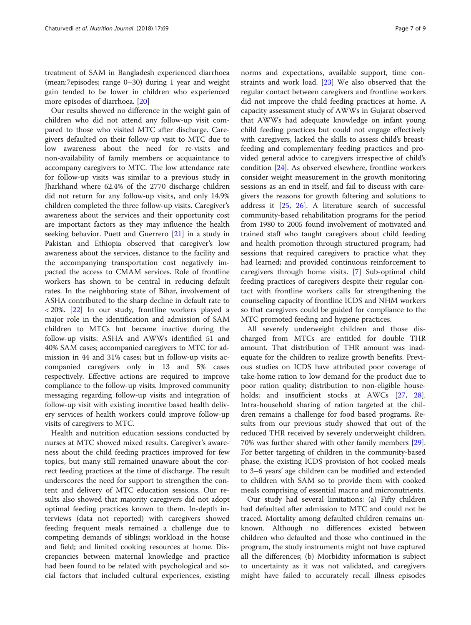treatment of SAM in Bangladesh experienced diarrhoea (mean:7episodes; range 0–30) during 1 year and weight gain tended to be lower in children who experienced more episodes of diarrhoea. [\[20](#page-8-0)]

Our results showed no difference in the weight gain of children who did not attend any follow-up visit compared to those who visited MTC after discharge. Caregivers defaulted on their follow-up visit to MTC due to low awareness about the need for re-visits and non-availability of family members or acquaintance to accompany caregivers to MTC. The low attendance rate for follow-up visits was similar to a previous study in Jharkhand where 62.4% of the 2770 discharge children did not return for any follow-up visits, and only 14.9% children completed the three follow-up visits. Caregiver's awareness about the services and their opportunity cost are important factors as they may influence the health seeking behavior. Puett and Guerrero [\[21\]](#page-8-0) in a study in Pakistan and Ethiopia observed that caregiver's low awareness about the services, distance to the facility and the accompanying transportation cost negatively impacted the access to CMAM services. Role of frontline workers has shown to be central in reducing default rates. In the neighboring state of Bihar, involvement of ASHA contributed to the sharp decline in default rate to < 20%. [[22\]](#page-8-0) In our study, frontline workers played a major role in the identification and admission of SAM children to MTCs but became inactive during the follow-up visits: ASHA and AWWs identified 51 and 40% SAM cases; accompanied caregivers to MTC for admission in 44 and 31% cases; but in follow-up visits accompanied caregivers only in 13 and 5% cases respectively. Effective actions are required to improve compliance to the follow-up visits. Improved community messaging regarding follow-up visits and integration of follow-up visit with existing incentive based health delivery services of health workers could improve follow-up visits of caregivers to MTC.

Health and nutrition education sessions conducted by nurses at MTC showed mixed results. Caregiver's awareness about the child feeding practices improved for few topics, but many still remained unaware about the correct feeding practices at the time of discharge. The result underscores the need for support to strengthen the content and delivery of MTC education sessions. Our results also showed that majority caregivers did not adopt optimal feeding practices known to them. In-depth interviews (data not reported) with caregivers showed feeding frequent meals remained a challenge due to competing demands of siblings; workload in the house and field; and limited cooking resources at home. Discrepancies between maternal knowledge and practice had been found to be related with psychological and social factors that included cultural experiences, existing

norms and expectations, available support, time constraints and work load. [\[23](#page-8-0)] We also observed that the regular contact between caregivers and frontline workers did not improve the child feeding practices at home. A capacity assessment study of AWWs in Gujarat observed that AWWs had adequate knowledge on infant young child feeding practices but could not engage effectively with caregivers, lacked the skills to assess child's breastfeeding and complementary feeding practices and provided general advice to caregivers irrespective of child's condition [\[24\]](#page-8-0). As observed elsewhere, frontline workers consider weight measurement in the growth monitoring sessions as an end in itself, and fail to discuss with caregivers the reasons for growth faltering and solutions to address it [\[25](#page-8-0), [26](#page-8-0)]. A literature search of successful community-based rehabilitation programs for the period from 1980 to 2005 found involvement of motivated and trained staff who taught caregivers about child feeding and health promotion through structured program; had sessions that required caregivers to practice what they had learned; and provided continuous reinforcement to caregivers through home visits. [\[7\]](#page-7-0) Sub-optimal child feeding practices of caregivers despite their regular contact with frontline workers calls for strengthening the counseling capacity of frontline ICDS and NHM workers so that caregivers could be guided for compliance to the MTC promoted feeding and hygiene practices.

All severely underweight children and those discharged from MTCs are entitled for double THR amount. That distribution of THR amount was inadequate for the children to realize growth benefits. Previous studies on ICDS have attributed poor coverage of take-home ration to low demand for the product due to poor ration quality; distribution to non-eligible house-holds; and insufficient stocks at AWCs [\[27,](#page-8-0) [28](#page-8-0)]. Intra-household sharing of ration targeted at the children remains a challenge for food based programs. Results from our previous study showed that out of the reduced THR received by severely underweight children, 70% was further shared with other family members [\[29](#page-8-0)]. For better targeting of children in the community-based phase, the existing ICDS provision of hot cooked meals to 3–6 years' age children can be modified and extended to children with SAM so to provide them with cooked meals comprising of essential macro and micronutrients.

Our study had several limitations: (a) Fifty children had defaulted after admission to MTC and could not be traced. Mortality among defaulted children remains unknown. Although no differences existed between children who defaulted and those who continued in the program, the study instruments might not have captured all the differences; (b) Morbidity information is subject to uncertainty as it was not validated, and caregivers might have failed to accurately recall illness episodes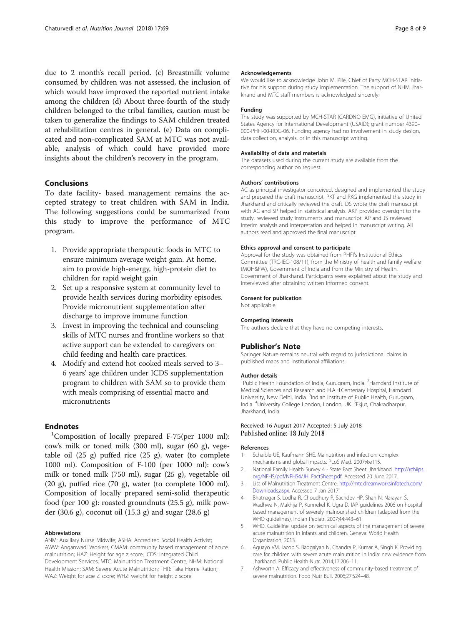<span id="page-7-0"></span>due to 2 month's recall period. (c) Breastmilk volume consumed by children was not assessed, the inclusion of which would have improved the reported nutrient intake among the children (d) About three-fourth of the study children belonged to the tribal families, caution must be taken to generalize the findings to SAM children treated at rehabilitation centres in general. (e) Data on complicated and non-complicated SAM at MTC was not available, analysis of which could have provided more insights about the children's recovery in the program.

## Conclusions

To date facility- based management remains the accepted strategy to treat children with SAM in India. The following suggestions could be summarized from this study to improve the performance of MTC program.

- 1. Provide appropriate therapeutic foods in MTC to ensure minimum average weight gain. At home, aim to provide high-energy, high-protein diet to children for rapid weight gain
- 2. Set up a responsive system at community level to provide health services during morbidity episodes. Provide micronutrient supplementation after discharge to improve immune function
- 3. Invest in improving the technical and counseling skills of MTC nurses and frontline workers so that active support can be extended to caregivers on child feeding and health care practices.
- 4. Modify and extend hot cooked meals served to 3– 6 years' age children under ICDS supplementation program to children with SAM so to provide them with meals comprising of essential macro and micronutrients

## **Endnotes**

<sup>1</sup>Composition of locally prepared F-75(per 1000 ml): cow's milk or toned milk (300 ml), sugar (60 g), vegetable oil (25 g) puffed rice (25 g), water (to complete 1000 ml). Composition of F-100 (per 1000 ml): cow's milk or toned milk (750 ml), sugar (25 g), vegetable oil (20 g), puffed rice (70 g), water (to complete 1000 ml). Composition of locally prepared semi-solid therapeutic food (per 100 g): roasted groundnuts (25.5 g), milk powder (30.6 g), coconut oil (15.3 g) and sugar (28.6 g)

#### Abbreviations

ANM: Auxiliary Nurse Midwife; ASHA: Accredited Social Health Activist; AWW: Anganwadi Workers; CMAM: community based management of acute malnutrition; HAZ: Height for age z score; ICDS: Integrated Child Development Services; MTC: Malnutrition Treatment Centre; NHM: National Health Mission; SAM: Severe Acute Malnutrition; THR: Take Home Ration; WAZ: Weight for age Z score; WHZ: weight for height z score

#### Acknowledgements

We would like to acknowledge John M. Pile, Chief of Party MCH-STAR initiative for his support during study implementation. The support of NHM Jharkhand and MTC staff members is acknowledged sincerely.

#### Funding

The study was supported by MCH-STAR (CARDNO EMG), initiative of United States Agency for International Development (USAID); grant number 4390– 000-PHFI-00-ROG-06. Funding agency had no involvement in study design, data collection, analysis, or in this manuscript writing.

#### Availability of data and materials

The datasets used during the current study are available from the corresponding author on request.

#### Authors' contributions

AC as principal investigator conceived, designed and implemented the study and prepared the draft manuscript. PKT and RKG implemented the study in Jharkhand and critically reviewed the draft. DS wrote the draft manuscript with AC and SP helped in statistical analysis. AKP provided oversight to the study, reviewed study instruments and manuscript. AP and JS reviewed interim analysis and interpretation and helped in manuscript writing. All authors read and approved the final manuscript.

#### Ethics approval and consent to participate

Approval for the study was obtained from PHFI's Institutional Ethics Committee (TRC-IEC-108/11), from the Ministry of health and family welfare (MOH&FW), Government of India and from the Ministry of Health, Government of Jharkhand. Participants were explained about the study and interviewed after obtaining written informed consent.

#### Consent for publication

Not applicable.

#### Competing interests

The authors declare that they have no competing interests.

## Publisher's Note

Springer Nature remains neutral with regard to jurisdictional claims in published maps and institutional affiliations.

#### Author details

<sup>1</sup>Public Health Foundation of India, Gurugram, India. <sup>2</sup>Hamdard Institute of Medical Sciences and Research and H.A.H.Centenary Hospital, Hamdard University, New Delhi, India. <sup>3</sup>Indian Institute of Public Health, Gurugram India. <sup>4</sup>University College London, London, UK. <sup>5</sup>Ekjut, Chakradharpur, Jharkhand, India.

#### Received: 16 August 2017 Accepted: 5 July 2018 Published online: 18 July 2018

#### References

- 1. Schaible UE, Kaufmann SHE. Malnutrition and infection: complex mechanisms and global impacts. PLoS Med. 2007;4:e115.
- 2. National Family Health Survey 4 State Fact Sheet: Jharkhand. [http://rchiips.](http://rchiips.org/NFHS/pdf/NFHS4/JH_FactSheet.pdf) [org/NFHS/pdf/NFHS4/JH\\_FactSheet.pdf](http://rchiips.org/NFHS/pdf/NFHS4/JH_FactSheet.pdf). Accessed 20 June 2017.
- 3. List of Malnutrition Treatment Centre. [http://mtc.dreamworksinfotech.com/](http://mtc.dreamworksinfotech.com/Downloads.aspx) [Downloads.aspx.](http://mtc.dreamworksinfotech.com/Downloads.aspx) Accessed 7 Jan 2017.
- 4. Bhatnagar S, Lodha R, Choudhury P, Sachdev HP, Shah N, Narayan S, Wadhwa N, Makhija P, Kunnekel K, Ugra D. IAP guidelines 2006 on hospital based management of severely malnourished children (adapted from the WHO guidelines). Indian Pediatr. 2007;44:443–61.
- 5. WHO. Guideline: update on technical aspects of the management of severe acute malnutrition in infants and children. Geneva: World Health Organization; 2013.
- 6. Aguayo VM, Jacob S, Badgaiyan N, Chandra P, Kumar A, Singh K. Providing care for children with severe acute malnutrition in India: new evidence from Jharkhand. Public Health Nutr. 2014;17:206–11.
- 7. Ashworth A. Efficacy and effectiveness of community-based treatment of severe malnutrition. Food Nutr Bull. 2006;27:S24–48.